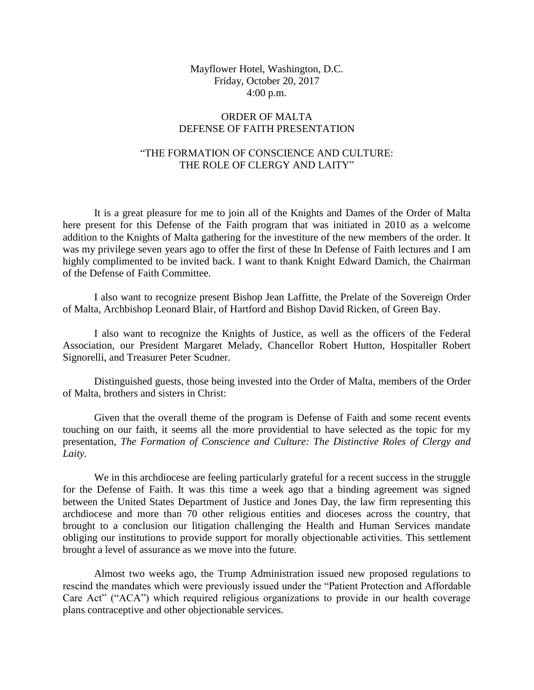## Mayflower Hotel, Washington, D.C. Friday, October 20, 2017 4:00 p.m.

# ORDER OF MALTA DEFENSE OF FAITH PRESENTATION

# "THE FORMATION OF CONSCIENCE AND CULTURE: THE ROLE OF CLERGY AND LAITY"

It is a great pleasure for me to join all of the Knights and Dames of the Order of Malta here present for this Defense of the Faith program that was initiated in 2010 as a welcome addition to the Knights of Malta gathering for the investiture of the new members of the order. It was my privilege seven years ago to offer the first of these In Defense of Faith lectures and I am highly complimented to be invited back. I want to thank Knight Edward Damich, the Chairman of the Defense of Faith Committee.

I also want to recognize present Bishop Jean Laffitte, the Prelate of the Sovereign Order of Malta, Archbishop Leonard Blair, of Hartford and Bishop David Ricken, of Green Bay.

I also want to recognize the Knights of Justice, as well as the officers of the Federal Association, our President Margaret Melady, Chancellor Robert Hutton, Hospitaller Robert Signorelli, and Treasurer Peter Scudner.

Distinguished guests, those being invested into the Order of Malta, members of the Order of Malta, brothers and sisters in Christ:

Given that the overall theme of the program is Defense of Faith and some recent events touching on our faith, it seems all the more providential to have selected as the topic for my presentation, *The Formation of Conscience and Culture: The Distinctive Roles of Clergy and Laity.*

We in this archdiocese are feeling particularly grateful for a recent success in the struggle for the Defense of Faith. It was this time a week ago that a binding agreement was signed between the United States Department of Justice and Jones Day, the law firm representing this archdiocese and more than 70 other religious entities and dioceses across the country, that brought to a conclusion our litigation challenging the Health and Human Services mandate obliging our institutions to provide support for morally objectionable activities. This settlement brought a level of assurance as we move into the future.

Almost two weeks ago, the Trump Administration issued new proposed regulations to rescind the mandates which were previously issued under the "Patient Protection and Affordable Care Act" ("ACA") which required religious organizations to provide in our health coverage plans contraceptive and other objectionable services.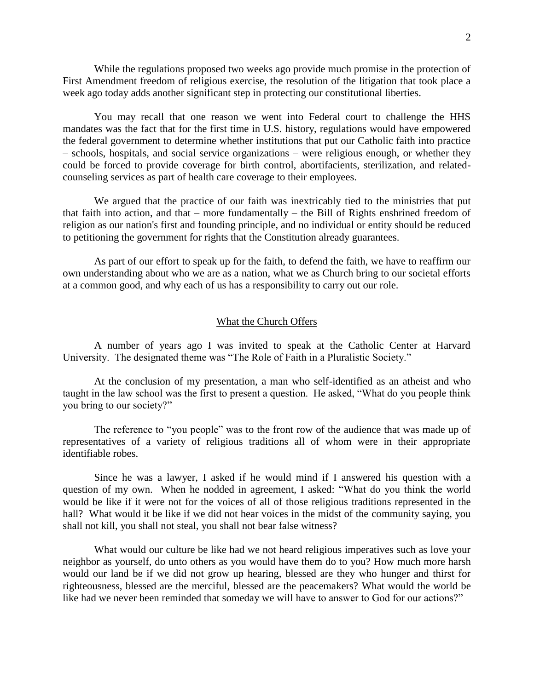While the regulations proposed two weeks ago provide much promise in the protection of First Amendment freedom of religious exercise, the resolution of the litigation that took place a week ago today adds another significant step in protecting our constitutional liberties.

You may recall that one reason we went into Federal court to challenge the HHS mandates was the fact that for the first time in U.S. history, regulations would have empowered the federal government to determine whether institutions that put our Catholic faith into practice – schools, hospitals, and social service organizations – were religious enough, or whether they could be forced to provide coverage for birth control, abortifacients, sterilization, and relatedcounseling services as part of health care coverage to their employees.

We argued that the practice of our faith was inextricably tied to the ministries that put that faith into action, and that – more fundamentally – the Bill of Rights enshrined freedom of religion as our nation's first and founding principle, and no individual or entity should be reduced to petitioning the government for rights that the Constitution already guarantees.

As part of our effort to speak up for the faith, to defend the faith, we have to reaffirm our own understanding about who we are as a nation, what we as Church bring to our societal efforts at a common good, and why each of us has a responsibility to carry out our role.

### What the Church Offers

A number of years ago I was invited to speak at the Catholic Center at Harvard University. The designated theme was "The Role of Faith in a Pluralistic Society."

At the conclusion of my presentation, a man who self-identified as an atheist and who taught in the law school was the first to present a question. He asked, "What do you people think you bring to our society?"

The reference to "you people" was to the front row of the audience that was made up of representatives of a variety of religious traditions all of whom were in their appropriate identifiable robes.

Since he was a lawyer, I asked if he would mind if I answered his question with a question of my own. When he nodded in agreement, I asked: "What do you think the world would be like if it were not for the voices of all of those religious traditions represented in the hall? What would it be like if we did not hear voices in the midst of the community saying, you shall not kill, you shall not steal, you shall not bear false witness?

What would our culture be like had we not heard religious imperatives such as love your neighbor as yourself, do unto others as you would have them do to you? How much more harsh would our land be if we did not grow up hearing, blessed are they who hunger and thirst for righteousness, blessed are the merciful, blessed are the peacemakers? What would the world be like had we never been reminded that someday we will have to answer to God for our actions?"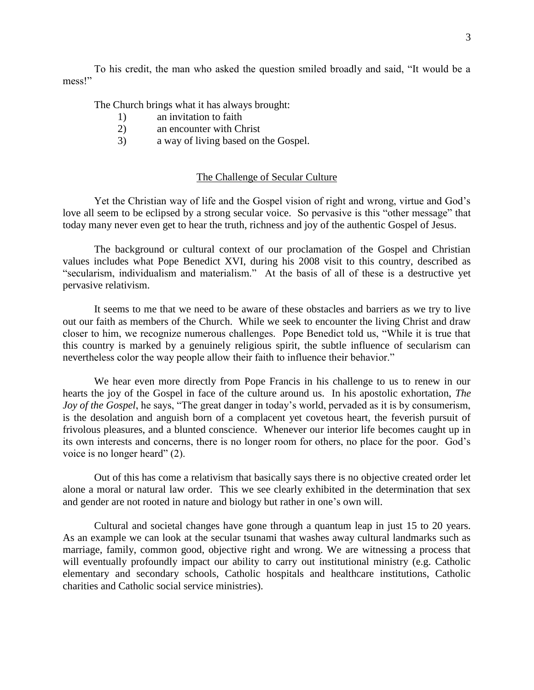To his credit, the man who asked the question smiled broadly and said, "It would be a mess!"

The Church brings what it has always brought:

- 1) an invitation to faith
- 2) an encounter with Christ
- 3) a way of living based on the Gospel.

### The Challenge of Secular Culture

Yet the Christian way of life and the Gospel vision of right and wrong, virtue and God's love all seem to be eclipsed by a strong secular voice. So pervasive is this "other message" that today many never even get to hear the truth, richness and joy of the authentic Gospel of Jesus.

The background or cultural context of our proclamation of the Gospel and Christian values includes what Pope Benedict XVI, during his 2008 visit to this country, described as "secularism, individualism and materialism." At the basis of all of these is a destructive yet pervasive relativism.

It seems to me that we need to be aware of these obstacles and barriers as we try to live out our faith as members of the Church. While we seek to encounter the living Christ and draw closer to him, we recognize numerous challenges. Pope Benedict told us, "While it is true that this country is marked by a genuinely religious spirit, the subtle influence of secularism can nevertheless color the way people allow their faith to influence their behavior."

We hear even more directly from Pope Francis in his challenge to us to renew in our hearts the joy of the Gospel in face of the culture around us. In his apostolic exhortation, *The Joy of the Gospel*, he says, "The great danger in today's world, pervaded as it is by consumerism, is the desolation and anguish born of a complacent yet covetous heart, the feverish pursuit of frivolous pleasures, and a blunted conscience. Whenever our interior life becomes caught up in its own interests and concerns, there is no longer room for others, no place for the poor. God's voice is no longer heard" (2).

Out of this has come a relativism that basically says there is no objective created order let alone a moral or natural law order. This we see clearly exhibited in the determination that sex and gender are not rooted in nature and biology but rather in one's own will.

Cultural and societal changes have gone through a quantum leap in just 15 to 20 years. As an example we can look at the secular tsunami that washes away cultural landmarks such as marriage, family, common good, objective right and wrong. We are witnessing a process that will eventually profoundly impact our ability to carry out institutional ministry (e.g. Catholic elementary and secondary schools, Catholic hospitals and healthcare institutions, Catholic charities and Catholic social service ministries).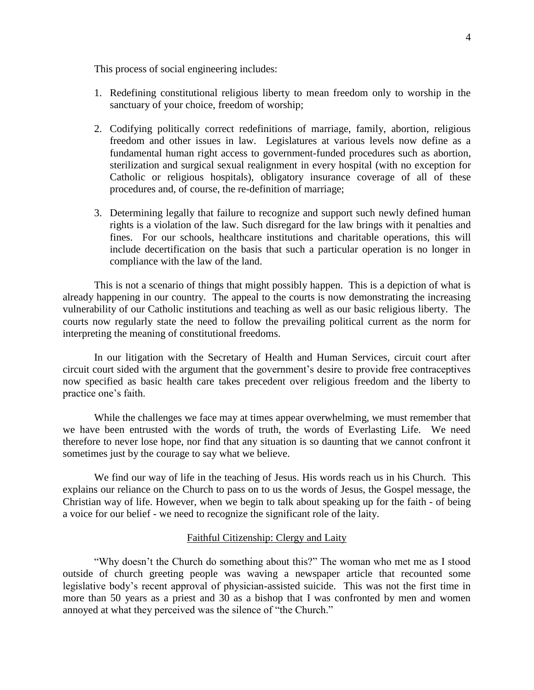This process of social engineering includes:

- 1. Redefining constitutional religious liberty to mean freedom only to worship in the sanctuary of your choice, freedom of worship;
- 2. Codifying politically correct redefinitions of marriage, family, abortion, religious freedom and other issues in law. Legislatures at various levels now define as a fundamental human right access to government-funded procedures such as abortion, sterilization and surgical sexual realignment in every hospital (with no exception for Catholic or religious hospitals), obligatory insurance coverage of all of these procedures and, of course, the re-definition of marriage;
- 3. Determining legally that failure to recognize and support such newly defined human rights is a violation of the law. Such disregard for the law brings with it penalties and fines. For our schools, healthcare institutions and charitable operations, this will include decertification on the basis that such a particular operation is no longer in compliance with the law of the land.

This is not a scenario of things that might possibly happen. This is a depiction of what is already happening in our country. The appeal to the courts is now demonstrating the increasing vulnerability of our Catholic institutions and teaching as well as our basic religious liberty. The courts now regularly state the need to follow the prevailing political current as the norm for interpreting the meaning of constitutional freedoms.

In our litigation with the Secretary of Health and Human Services, circuit court after circuit court sided with the argument that the government's desire to provide free contraceptives now specified as basic health care takes precedent over religious freedom and the liberty to practice one's faith.

While the challenges we face may at times appear overwhelming, we must remember that we have been entrusted with the words of truth, the words of Everlasting Life. We need therefore to never lose hope, nor find that any situation is so daunting that we cannot confront it sometimes just by the courage to say what we believe.

We find our way of life in the teaching of Jesus. His words reach us in his Church. This explains our reliance on the Church to pass on to us the words of Jesus, the Gospel message, the Christian way of life. However, when we begin to talk about speaking up for the faith - of being a voice for our belief - we need to recognize the significant role of the laity.

### Faithful Citizenship: Clergy and Laity

"Why doesn't the Church do something about this?" The woman who met me as I stood outside of church greeting people was waving a newspaper article that recounted some legislative body's recent approval of physician-assisted suicide. This was not the first time in more than 50 years as a priest and 30 as a bishop that I was confronted by men and women annoyed at what they perceived was the silence of "the Church."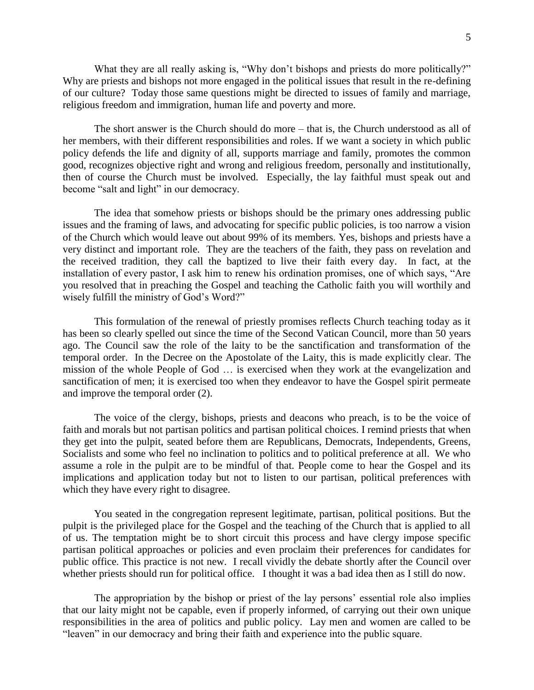What they are all really asking is, "Why don't bishops and priests do more politically?" Why are priests and bishops not more engaged in the political issues that result in the re-defining of our culture? Today those same questions might be directed to issues of family and marriage, religious freedom and immigration, human life and poverty and more.

The short answer is the Church should do more – that is, the Church understood as all of her members, with their different responsibilities and roles. If we want a society in which public policy defends the life and dignity of all, supports marriage and family, promotes the common good, recognizes objective right and wrong and religious freedom, personally and institutionally, then of course the Church must be involved. Especially, the lay faithful must speak out and become "salt and light" in our democracy.

The idea that somehow priests or bishops should be the primary ones addressing public issues and the framing of laws, and advocating for specific public policies, is too narrow a vision of the Church which would leave out about 99% of its members. Yes, bishops and priests have a very distinct and important role. They are the teachers of the faith, they pass on revelation and the received tradition, they call the baptized to live their faith every day. In fact, at the installation of every pastor, I ask him to renew his ordination promises, one of which says, "Are you resolved that in preaching the Gospel and teaching the Catholic faith you will worthily and wisely fulfill the ministry of God's Word?"

This formulation of the renewal of priestly promises reflects Church teaching today as it has been so clearly spelled out since the time of the Second Vatican Council, more than 50 years ago. The Council saw the role of the laity to be the sanctification and transformation of the temporal order. In the Decree on the Apostolate of the Laity, this is made explicitly clear. The mission of the whole People of God … is exercised when they work at the evangelization and sanctification of men; it is exercised too when they endeavor to have the Gospel spirit permeate and improve the temporal order (2).

The voice of the clergy, bishops, priests and deacons who preach, is to be the voice of faith and morals but not partisan politics and partisan political choices. I remind priests that when they get into the pulpit, seated before them are Republicans, Democrats, Independents, Greens, Socialists and some who feel no inclination to politics and to political preference at all. We who assume a role in the pulpit are to be mindful of that. People come to hear the Gospel and its implications and application today but not to listen to our partisan, political preferences with which they have every right to disagree.

You seated in the congregation represent legitimate, partisan, political positions. But the pulpit is the privileged place for the Gospel and the teaching of the Church that is applied to all of us. The temptation might be to short circuit this process and have clergy impose specific partisan political approaches or policies and even proclaim their preferences for candidates for public office. This practice is not new. I recall vividly the debate shortly after the Council over whether priests should run for political office. I thought it was a bad idea then as I still do now.

The appropriation by the bishop or priest of the lay persons' essential role also implies that our laity might not be capable, even if properly informed, of carrying out their own unique responsibilities in the area of politics and public policy. Lay men and women are called to be "leaven" in our democracy and bring their faith and experience into the public square.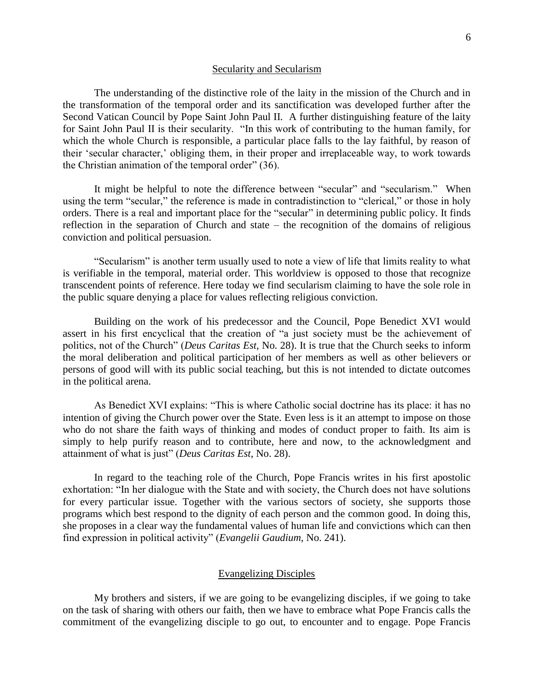#### Secularity and Secularism

The understanding of the distinctive role of the laity in the mission of the Church and in the transformation of the temporal order and its sanctification was developed further after the Second Vatican Council by Pope Saint John Paul II. A further distinguishing feature of the laity for Saint John Paul II is their secularity. "In this work of contributing to the human family, for which the whole Church is responsible, a particular place falls to the lay faithful, by reason of their 'secular character,' obliging them, in their proper and irreplaceable way, to work towards the Christian animation of the temporal order" (36).

It might be helpful to note the difference between "secular" and "secularism." When using the term "secular," the reference is made in contradistinction to "clerical," or those in holy orders. There is a real and important place for the "secular" in determining public policy. It finds reflection in the separation of Church and state – the recognition of the domains of religious conviction and political persuasion.

"Secularism" is another term usually used to note a view of life that limits reality to what is verifiable in the temporal, material order. This worldview is opposed to those that recognize transcendent points of reference. Here today we find secularism claiming to have the sole role in the public square denying a place for values reflecting religious conviction.

Building on the work of his predecessor and the Council, Pope Benedict XVI would assert in his first encyclical that the creation of "a just society must be the achievement of politics, not of the Church" (*Deus Caritas Est,* No. 28). It is true that the Church seeks to inform the moral deliberation and political participation of her members as well as other believers or persons of good will with its public social teaching, but this is not intended to dictate outcomes in the political arena.

As Benedict XVI explains: "This is where Catholic social doctrine has its place: it has no intention of giving the Church power over the State. Even less is it an attempt to impose on those who do not share the faith ways of thinking and modes of conduct proper to faith. Its aim is simply to help purify reason and to contribute, here and now, to the acknowledgment and attainment of what is just" (*Deus Caritas Est*, No. 28).

In regard to the teaching role of the Church, Pope Francis writes in his first apostolic exhortation: "In her dialogue with the State and with society, the Church does not have solutions for every particular issue. Together with the various sectors of society, she supports those programs which best respond to the dignity of each person and the common good. In doing this, she proposes in a clear way the fundamental values of human life and convictions which can then find expression in political activity" (*Evangelii Gaudium*, No. 241).

#### Evangelizing Disciples

My brothers and sisters, if we are going to be evangelizing disciples, if we going to take on the task of sharing with others our faith, then we have to embrace what Pope Francis calls the commitment of the evangelizing disciple to go out, to encounter and to engage. Pope Francis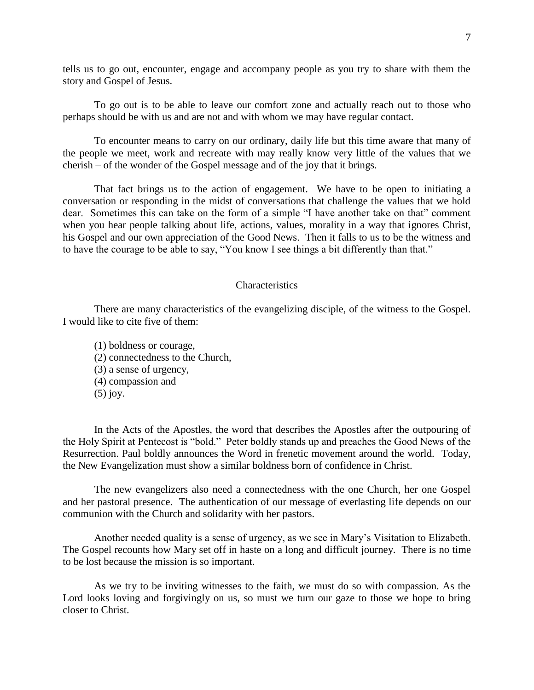tells us to go out, encounter, engage and accompany people as you try to share with them the story and Gospel of Jesus.

To go out is to be able to leave our comfort zone and actually reach out to those who perhaps should be with us and are not and with whom we may have regular contact.

To encounter means to carry on our ordinary, daily life but this time aware that many of the people we meet, work and recreate with may really know very little of the values that we cherish – of the wonder of the Gospel message and of the joy that it brings.

That fact brings us to the action of engagement. We have to be open to initiating a conversation or responding in the midst of conversations that challenge the values that we hold dear. Sometimes this can take on the form of a simple "I have another take on that" comment when you hear people talking about life, actions, values, morality in a way that ignores Christ, his Gospel and our own appreciation of the Good News. Then it falls to us to be the witness and to have the courage to be able to say, "You know I see things a bit differently than that."

#### **Characteristics**

There are many characteristics of the evangelizing disciple, of the witness to the Gospel. I would like to cite five of them:

(1) boldness or courage, (2) connectedness to the Church, (3) a sense of urgency, (4) compassion and (5) joy.

In the Acts of the Apostles, the word that describes the Apostles after the outpouring of the Holy Spirit at Pentecost is "bold." Peter boldly stands up and preaches the Good News of the Resurrection. Paul boldly announces the Word in frenetic movement around the world. Today, the New Evangelization must show a similar boldness born of confidence in Christ.

The new evangelizers also need a connectedness with the one Church, her one Gospel and her pastoral presence. The authentication of our message of everlasting life depends on our communion with the Church and solidarity with her pastors.

Another needed quality is a sense of urgency, as we see in Mary's Visitation to Elizabeth. The Gospel recounts how Mary set off in haste on a long and difficult journey. There is no time to be lost because the mission is so important.

As we try to be inviting witnesses to the faith, we must do so with compassion. As the Lord looks loving and forgivingly on us, so must we turn our gaze to those we hope to bring closer to Christ.